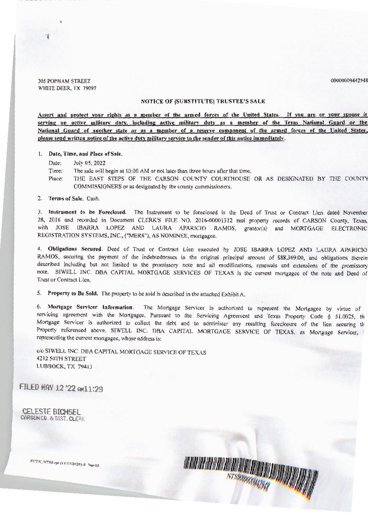305 POPHAM STREET WHITE DEER, TX 79097

## NOTICE OF [SUBSTITUTE] TRUSTEE'S SALE

00000009442948

Assert and protect your rights as a member of the armed forces of the United States. If you are or your spouse is serving on active military duty, including active military duty as a member of the Texas National Guard or the National Guard of another state or as a member of a reserve component of the armed forces of the United States. please send written notice of the active duty military service to the sender of this notice immediately.

#### 1. Date, Time, and Place of Sale.

Date: July 05, 2022

Time: The sale will begin at 10:00 AM or not later than three hours after that time.

Place: THE EAST STEPS OF THE CARSON COUNTY COURTHOUSE OR AS DESIGNATED BY THE COUNTY COMMISSIONERS or as designated by the county commissioners.

2. Terms of Sale. Cash.

3. Instrument to be Foreclosed. The Instrument to be foreclosed is the Deed of Trust or Contract Lien dated November 28, 2016 and recorded in Document CLERK'S FILE NO. 2016-00001312 real property records of CARSON County, Texas, with JOSE IBARRA LOPEZ AND LAURA APARICIO RAMOS, grantor(s) and MORTGAGE ELECTRONIC REGISTRATION SYSTEMS, INC., ("MERS"), AS NOMINEE, mortgagee.

4. **Obligations Secured.** Deed of Trust or Contract Lien executed by JOSE IBARRA LOPEZ AND LAURA APARIClO RAMOS, securing the payment of the indebtednesses in the original principal amount of \$88,369.00, and obligations therein described including but not limited to the promissory note and all modifications, renewals and extensions of the promissory note. SIWELL INC. OBA CAPITAL MORTGAGE SERVICES OF TEXAS is the current mortgagee of the note and Deed of Trust or Contract Lien.

5. Property to Be Sold. The property to be sold is described in the attached Exhibit A.

6. Mortgage Servicer Information. The Mortgage Servicer is authorized to represent the Mortgagee by virtue of servicing agreement with the Mortgagee. Pursuant to the Servicing Agreement and Texas Property Code § 51.0025, th Mortgage Servicer is authorized to collect the debt and to administer any resulting foreclosure of the lien securing th Property referenced above. SIWELL INC. DBA CAPITAL MORTGAGE SERVICE OF TEXAS, as Mortgage Servicer, i representing the current mortgagee, whose address is:

c/o SI WELL INC. DBA CAPITAL MORTGAGE SERVICE OF TEXAS 4212 50TH STREET LUBBOCK, TX 79413

 $-1$  ,  $-1$  ,  $-1$  ,  $-1$  ,  $-1$  ,  $-1$  ,  $-1$  ,  $-1$  ,  $-1$  ,  $-1$  ,  $-1$  ,  $-1$  ,  $-1$  ,  $-1$  ,  $-1$  ,  $-1$  ,  $-1$  ,  $-1$  ,  $-1$  ,  $-1$  ,  $-1$  ,  $-1$  ,  $-1$  ,  $-1$  ,  $-1$  ,  $-1$  ,  $-1$  ,  $-1$  ,  $-1$  ,  $-1$  ,  $-1$  ,  $-1$ 

FILED MAY 12 '22 AMll:29

CELESTE BICHSEL CARSON CO, & DIST, CLERK

*FCTy N'TSS.rp, (llt11no20)-S* Ve,-03 lfllllll~f **ll8fll!'**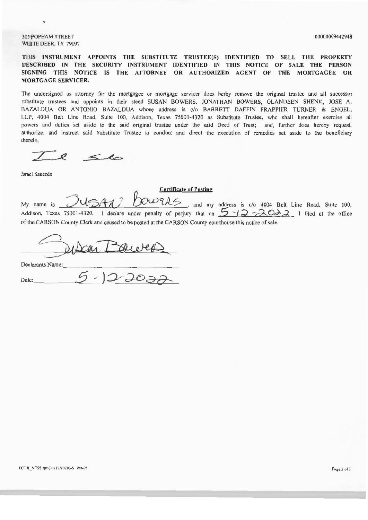305 POPHAM STREET WHITE DEER, TX 79097

**THIS INSTRUMENT APPOINTS THE SUBSTITUTE TRUSTEE(S) IDENTIFIED TO SELL THE PROPERTY DESCRIBED IN THE SECURITY INSTRUMENT IDENTIFIED IN THIS NOTICE OF SALE THE PERSON**  SIGNING THIS NOTICE IS THE ATTORNEY OR AUTHORIZED AGENT OF THE MORTGAGEE OR **MORTGAGE SERVICER.** 

The undersigned as attorney for the mortgagee or mortgage servicer does herby remove the original trustee and all successor substitute trustees and appoints in their steed SUSAN BOWERS, JONATHAN BOWERS, GLANDEEN SHENK, JOSE A. BAZALDUA OR ANTONIO BAZALDUA whose address is c/o BARRETT DAFFIN FRAPPIER TURNER & ENGEL, LLP, 4004 Belt Line Road, Suite 100, Addison, Texas 75001-4320 as Substitute Trustee, who shall hereafter exercise all powers and duties set aside to the said original trustee under the said Deed of Trust; and, further does hereby request, authorize, and instruct said Substitute Trustee to conduct and direct the execution of remedies set aside to the beneficiary therein.

 $56$ 

Israel Saucedo

### **Certificate of Posting**

My name is  $JUSA1$  *DOWTAS*, and my address is c/o 4004 Belt Line Road, Suite 100, Addison, Texas 75001-4320. I declare under penalty of perjury that on  $5 - 12 - 20$ , I filed at the office of the CARSON County Clerk and caused to be posted at the CARSON County courthouse this notice of sale.

 $DedXORTBweVPR$ 

Date: